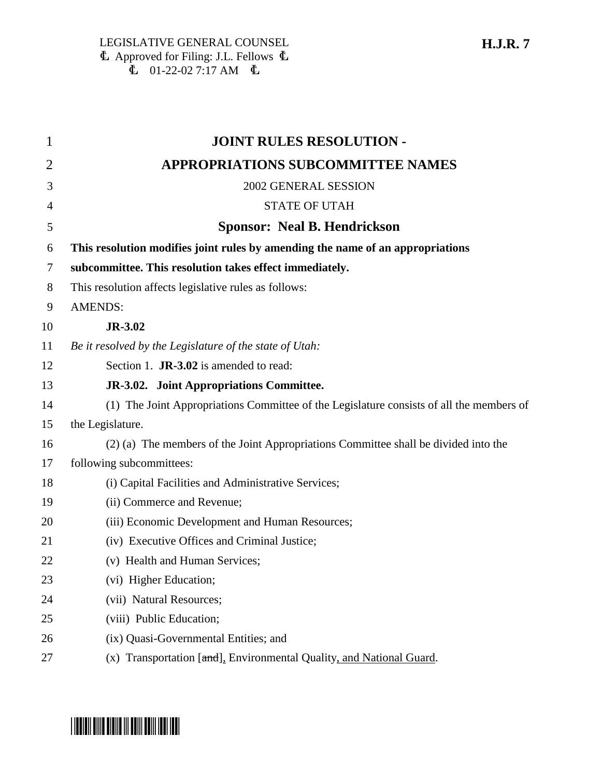1 **JOINT RULES RESOLUTION -** 2 **APPROPRIATIONS SUBCOMMITTEE NAMES** 3 2002 GENERAL SESSION 4 STATE OF UTAH 5 **Sponsor: Neal B. Hendrickson** 6 **This resolution modifies joint rules by amending the name of an appropriations** 7 **subcommittee. This resolution takes effect immediately.** 8 This resolution affects legislative rules as follows: 9 AMENDS: 10 **JR-3.02** 11 *Be it resolved by the Legislature of the state of Utah:* 12 Section 1. **JR-3.02** is amended to read: 13 **JR-3.02. Joint Appropriations Committee.** 14 (1) The Joint Appropriations Committee of the Legislature consists of all the members of 15 the Legislature. 16 (2) (a) The members of the Joint Appropriations Committee shall be divided into the 17 following subcommittees: 18 (i) Capital Facilities and Administrative Services; 19 (ii) Commerce and Revenue; 20 (iii) Economic Development and Human Resources; 21 (iv) Executive Offices and Criminal Justice; 22 (v) Health and Human Services; 23 (vi) Higher Education; 24 (vii) Natural Resources; 25 (viii) Public Education; 26 (ix) Quasi-Governmental Entities; and 27 (x) Transportation [and], Environmental Quality, and National Guard.

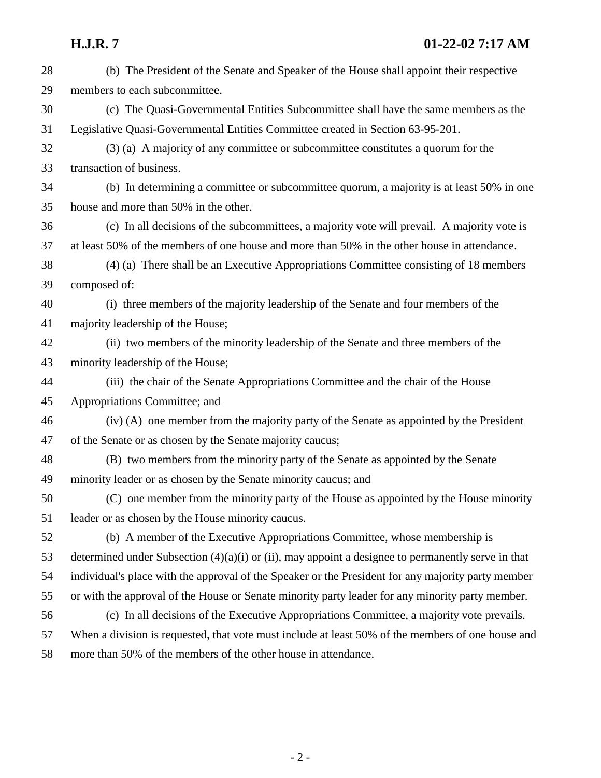| 28 | (b) The President of the Senate and Speaker of the House shall appoint their respective              |
|----|------------------------------------------------------------------------------------------------------|
| 29 | members to each subcommittee.                                                                        |
| 30 | (c) The Quasi-Governmental Entities Subcommittee shall have the same members as the                  |
| 31 | Legislative Quasi-Governmental Entities Committee created in Section 63-95-201.                      |
| 32 | (3) (a) A majority of any committee or subcommittee constitutes a quorum for the                     |
| 33 | transaction of business.                                                                             |
| 34 | (b) In determining a committee or subcommittee quorum, a majority is at least 50% in one             |
| 35 | house and more than 50% in the other.                                                                |
| 36 | (c) In all decisions of the subcommittees, a majority vote will prevail. A majority vote is          |
| 37 | at least 50% of the members of one house and more than 50% in the other house in attendance.         |
| 38 | (4) (a) There shall be an Executive Appropriations Committee consisting of 18 members                |
| 39 | composed of:                                                                                         |
| 40 | (i) three members of the majority leadership of the Senate and four members of the                   |
| 41 | majority leadership of the House;                                                                    |
| 42 | (ii) two members of the minority leadership of the Senate and three members of the                   |
| 43 | minority leadership of the House;                                                                    |
| 44 | (iii) the chair of the Senate Appropriations Committee and the chair of the House                    |
| 45 | Appropriations Committee; and                                                                        |
| 46 | (iv) (A) one member from the majority party of the Senate as appointed by the President              |
| 47 | of the Senate or as chosen by the Senate majority caucus;                                            |
| 48 | (B) two members from the minority party of the Senate as appointed by the Senate                     |
| 49 | minority leader or as chosen by the Senate minority caucus; and                                      |
| 50 | (C) one member from the minority party of the House as appointed by the House minority               |
| 51 | leader or as chosen by the House minority caucus.                                                    |
| 52 | (b) A member of the Executive Appropriations Committee, whose membership is                          |
| 53 | determined under Subsection $(4)(a)(i)$ or (ii), may appoint a designee to permanently serve in that |
| 54 | individual's place with the approval of the Speaker or the President for any majority party member   |
| 55 | or with the approval of the House or Senate minority party leader for any minority party member.     |
| 56 | (c) In all decisions of the Executive Appropriations Committee, a majority vote prevails.            |
| 57 | When a division is requested, that vote must include at least 50% of the members of one house and    |
| 58 | more than 50% of the members of the other house in attendance.                                       |
|    |                                                                                                      |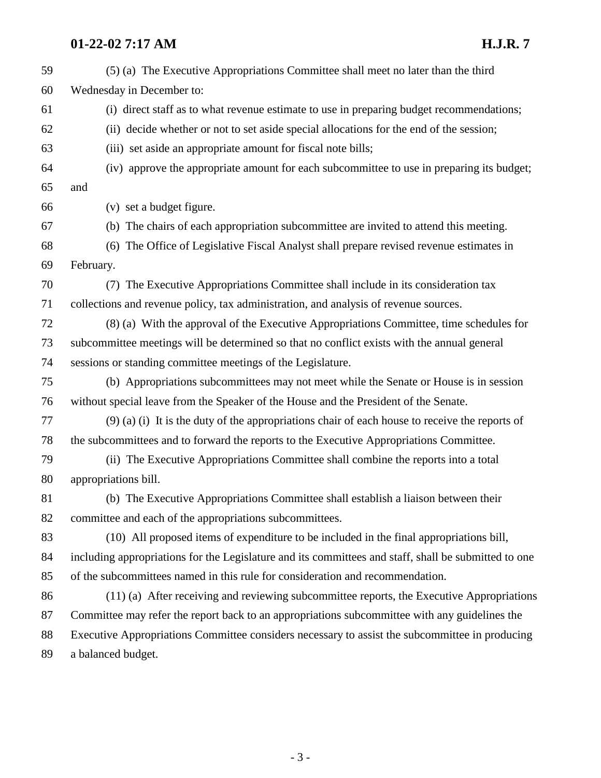## **01-22-02 7:17 AM H.J.R. 7**

| 59 | (5) (a) The Executive Appropriations Committee shall meet no later than the third                    |
|----|------------------------------------------------------------------------------------------------------|
| 60 | Wednesday in December to:                                                                            |
| 61 | (i) direct staff as to what revenue estimate to use in preparing budget recommendations;             |
| 62 | (ii) decide whether or not to set aside special allocations for the end of the session;              |
| 63 | (iii) set aside an appropriate amount for fiscal note bills;                                         |
| 64 | (iv) approve the appropriate amount for each subcommittee to use in preparing its budget;            |
| 65 | and                                                                                                  |
| 66 | (v) set a budget figure.                                                                             |
| 67 | (b) The chairs of each appropriation subcommittee are invited to attend this meeting.                |
| 68 | The Office of Legislative Fiscal Analyst shall prepare revised revenue estimates in<br>(6)           |
| 69 | February.                                                                                            |
| 70 | (7) The Executive Appropriations Committee shall include in its consideration tax                    |
| 71 | collections and revenue policy, tax administration, and analysis of revenue sources.                 |
| 72 | (8) (a) With the approval of the Executive Appropriations Committee, time schedules for              |
| 73 | subcommittee meetings will be determined so that no conflict exists with the annual general          |
| 74 | sessions or standing committee meetings of the Legislature.                                          |
| 75 | (b) Appropriations subcommittees may not meet while the Senate or House is in session                |
| 76 | without special leave from the Speaker of the House and the President of the Senate.                 |
| 77 | $(9)$ (a) (i) It is the duty of the appropriations chair of each house to receive the reports of     |
| 78 | the subcommittees and to forward the reports to the Executive Appropriations Committee.              |
| 79 | (ii) The Executive Appropriations Committee shall combine the reports into a total                   |
| 80 | appropriations bill.                                                                                 |
| 81 | (b) The Executive Appropriations Committee shall establish a liaison between their                   |
| 82 | committee and each of the appropriations subcommittees.                                              |
| 83 | (10) All proposed items of expenditure to be included in the final appropriations bill,              |
| 84 | including appropriations for the Legislature and its committees and staff, shall be submitted to one |
| 85 | of the subcommittees named in this rule for consideration and recommendation.                        |
| 86 | (11) (a) After receiving and reviewing subcommittee reports, the Executive Appropriations            |
| 87 | Committee may refer the report back to an appropriations subcommittee with any guidelines the        |
| 88 | Executive Appropriations Committee considers necessary to assist the subcommittee in producing       |
| 89 | a balanced budget.                                                                                   |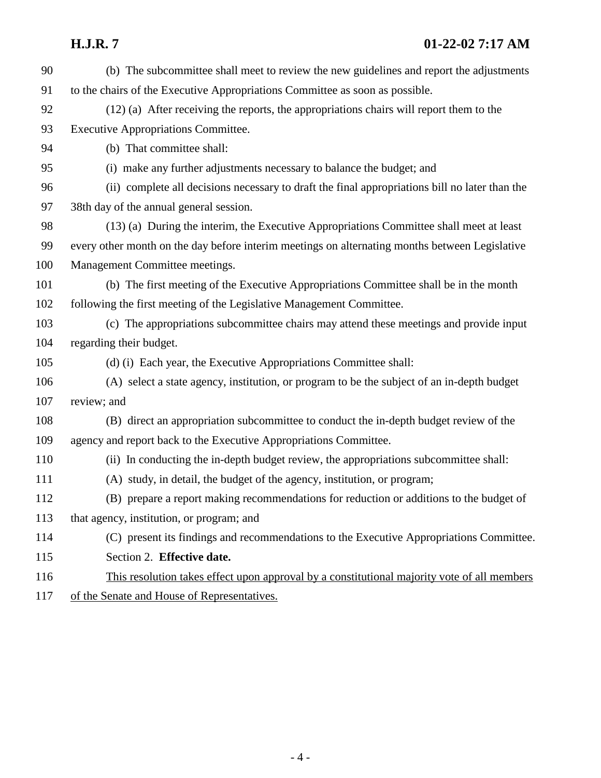| 90  | (b) The subcommittee shall meet to review the new guidelines and report the adjustments        |
|-----|------------------------------------------------------------------------------------------------|
| 91  | to the chairs of the Executive Appropriations Committee as soon as possible.                   |
| 92  | (12) (a) After receiving the reports, the appropriations chairs will report them to the        |
| 93  | <b>Executive Appropriations Committee.</b>                                                     |
| 94  | (b) That committee shall:                                                                      |
| 95  | (i) make any further adjustments necessary to balance the budget; and                          |
| 96  | (ii) complete all decisions necessary to draft the final appropriations bill no later than the |
| 97  | 38th day of the annual general session.                                                        |
| 98  | (13) (a) During the interim, the Executive Appropriations Committee shall meet at least        |
| 99  | every other month on the day before interim meetings on alternating months between Legislative |
| 100 | Management Committee meetings.                                                                 |
| 101 | (b) The first meeting of the Executive Appropriations Committee shall be in the month          |
| 102 | following the first meeting of the Legislative Management Committee.                           |
| 103 | (c) The appropriations subcommittee chairs may attend these meetings and provide input         |
| 104 | regarding their budget.                                                                        |
| 105 | (d) (i) Each year, the Executive Appropriations Committee shall:                               |
| 106 | (A) select a state agency, institution, or program to be the subject of an in-depth budget     |
| 107 | review; and                                                                                    |
| 108 | (B) direct an appropriation subcommittee to conduct the in-depth budget review of the          |
| 109 | agency and report back to the Executive Appropriations Committee.                              |
| 110 | (ii) In conducting the in-depth budget review, the appropriations subcommittee shall:          |
| 111 | (A) study, in detail, the budget of the agency, institution, or program;                       |
| 112 | (B) prepare a report making recommendations for reduction or additions to the budget of        |
| 113 | that agency, institution, or program; and                                                      |
| 114 | (C) present its findings and recommendations to the Executive Appropriations Committee.        |
| 115 | Section 2. Effective date.                                                                     |
| 116 | This resolution takes effect upon approval by a constitutional majority vote of all members    |
| 117 | of the Senate and House of Representatives.                                                    |